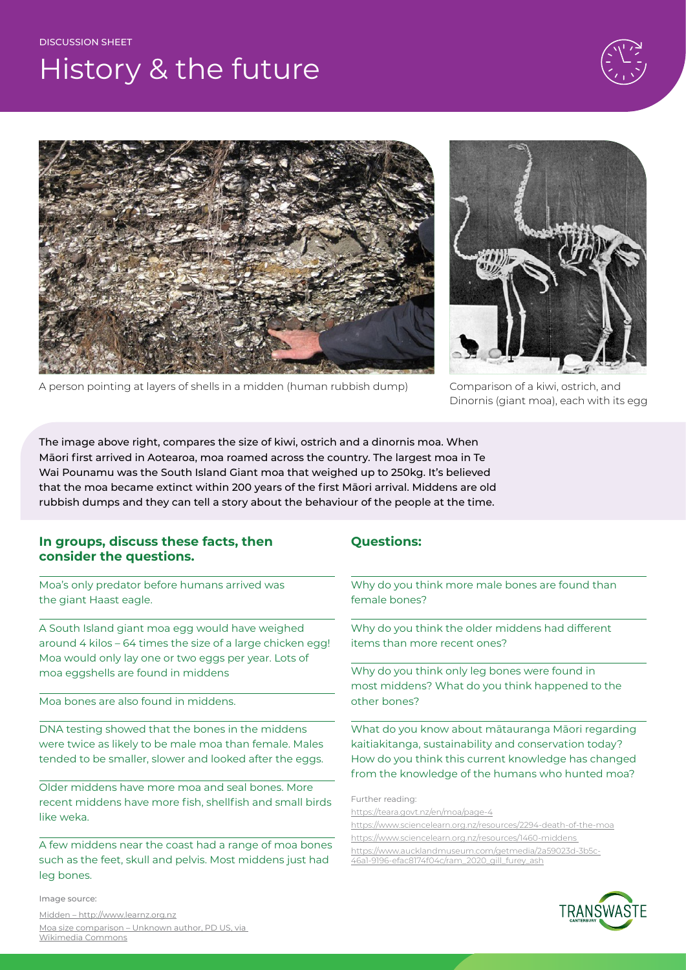#### DISCUSSION SHEET

## History & the future







A person pointing at layers of shells in a midden (human rubbish dump) Comparison of a kiwi, ostrich, and

Dinornis (giant moa), each with its egg

The image above right, compares the size of kiwi, ostrich and a dinornis moa. When Māori first arrived in Aotearoa, moa roamed across the country. The largest moa in Te Wai Pounamu was the South Island Giant moa that weighed up to 250kg. It's believed that the moa became extinct within 200 years of the first Māori arrival. Middens are old rubbish dumps and they can tell a story about the behaviour of the people at the time.

### **In groups, discuss these facts, then consider the questions.**

Moa's only predator before humans arrived was the giant Haast eagle.

A South Island giant moa egg would have weighed around 4 kilos – 64 times the size of a large chicken egg! Moa would only lay one or two eggs per year. Lots of moa eggshells are found in middens

Moa bones are also found in middens.

DNA testing showed that the bones in the middens were twice as likely to be male moa than female. Males tended to be smaller, slower and looked after the eggs.

Older middens have more moa and seal bones. More recent middens have more fish, shellfish and small birds like weka.

A few middens near the coast had a range of moa bones such as the feet, skull and pelvis. Most middens just had leg bones.

Image source:

[Midden – http://www.learnz.org.nz](http://www.learnz.org.nz) Moa size comparison – [Unknown author, PD US, via](https://commons.wikimedia.org/wiki/File:Kiwi,_ostrich,_Dinornis.jpg)  [Wikimedia Commons](https://commons.wikimedia.org/wiki/File:Kiwi,_ostrich,_Dinornis.jpg)

### **Questions:**

Why do you think more male bones are found than female bones?

Why do you think the older middens had different items than more recent ones?

Why do you think only leg bones were found in most middens? What do you think happened to the other bones?

What do you know about mātauranga Māori regarding kaitiakitanga, sustainability and conservation today? How do you think this current knowledge has changed from the knowledge of the humans who hunted moa?

Further reading:

[https://teara.govt.nz/en/moa/page-4](https://teara.govt.nz/en/moa/page-4
)

[https://www.sciencelearn.org.nz/resources/2294-death-of-the-moa](https://www.sciencelearn.org.nz/resources/2294-death-of-the-moa 
)

[https://www.sciencelearn.org.nz/resources/1460-middens](https://www.sciencelearn.org.nz/resources/1460-middens 
) 

[https://www.aucklandmuseum.com/getmedia/2a59023d-3b5c-](https://www.aucklandmuseum.com/getmedia/2a59023d-3b5c-46a1-9196-efac8174f04c/ram_2020_gill_furey_ash)[46a1-9196-efac8174f04c/ram\\_2020\\_gill\\_furey\\_ash](https://www.aucklandmuseum.com/getmedia/2a59023d-3b5c-46a1-9196-efac8174f04c/ram_2020_gill_furey_ash)